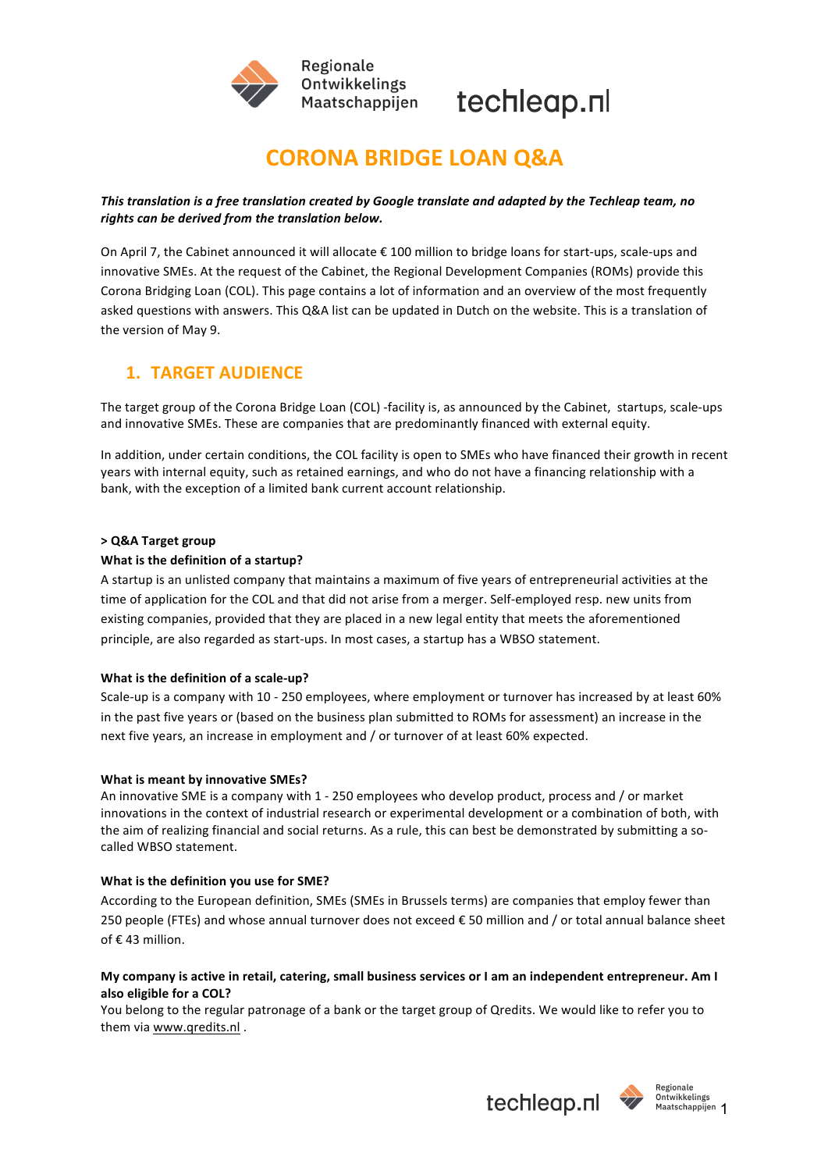



# **CORONA BRIDGE LOAN Q&A**

### This translation is a free translation created by Google translate and adapted by the Techleap team, no rights can be derived from the translation below.

On April 7, the Cabinet announced it will allocate  $\epsilon$  100 million to bridge loans for start-ups, scale-ups and innovative SMEs. At the request of the Cabinet, the Regional Development Companies (ROMs) provide this Corona Bridging Loan (COL). This page contains a lot of information and an overview of the most frequently asked questions with answers. This Q&A list can be updated in Dutch on the website. This is a translation of the version of May 9.

## **1. TARGET AUDIENCE**

The target group of the Corona Bridge Loan (COL) -facility is, as announced by the Cabinet, startups, scale-ups and innovative SMEs. These are companies that are predominantly financed with external equity.

In addition, under certain conditions, the COL facility is open to SMEs who have financed their growth in recent years with internal equity, such as retained earnings, and who do not have a financing relationship with a bank, with the exception of a limited bank current account relationship.

#### **> Q&A Target group**

#### **What is the definition of a startup?**

A startup is an unlisted company that maintains a maximum of five years of entrepreneurial activities at the time of application for the COL and that did not arise from a merger. Self-employed resp. new units from existing companies, provided that they are placed in a new legal entity that meets the aforementioned principle, are also regarded as start-ups. In most cases, a startup has a WBSO statement.

#### **What is the definition of a scale-up?**

Scale-up is a company with 10 - 250 employees, where employment or turnover has increased by at least 60% in the past five years or (based on the business plan submitted to ROMs for assessment) an increase in the next five years, an increase in employment and / or turnover of at least 60% expected.

#### **What is meant by innovative SMEs?**

An innovative SME is a company with 1 - 250 employees who develop product, process and / or market innovations in the context of industrial research or experimental development or a combination of both, with the aim of realizing financial and social returns. As a rule, this can best be demonstrated by submitting a socalled WBSO statement.

#### **What is the definition you use for SME?**

According to the European definition, SMEs (SMEs in Brussels terms) are companies that employ fewer than 250 people (FTEs) and whose annual turnover does not exceed € 50 million and / or total annual balance sheet of €43 million.

#### **My company is active in retail, catering, small business services or I am an independent entrepreneur. Am I** also eligible for a COL?

You belong to the regular patronage of a bank or the target group of Qredits. We would like to refer you to them via www.qredits.nl.

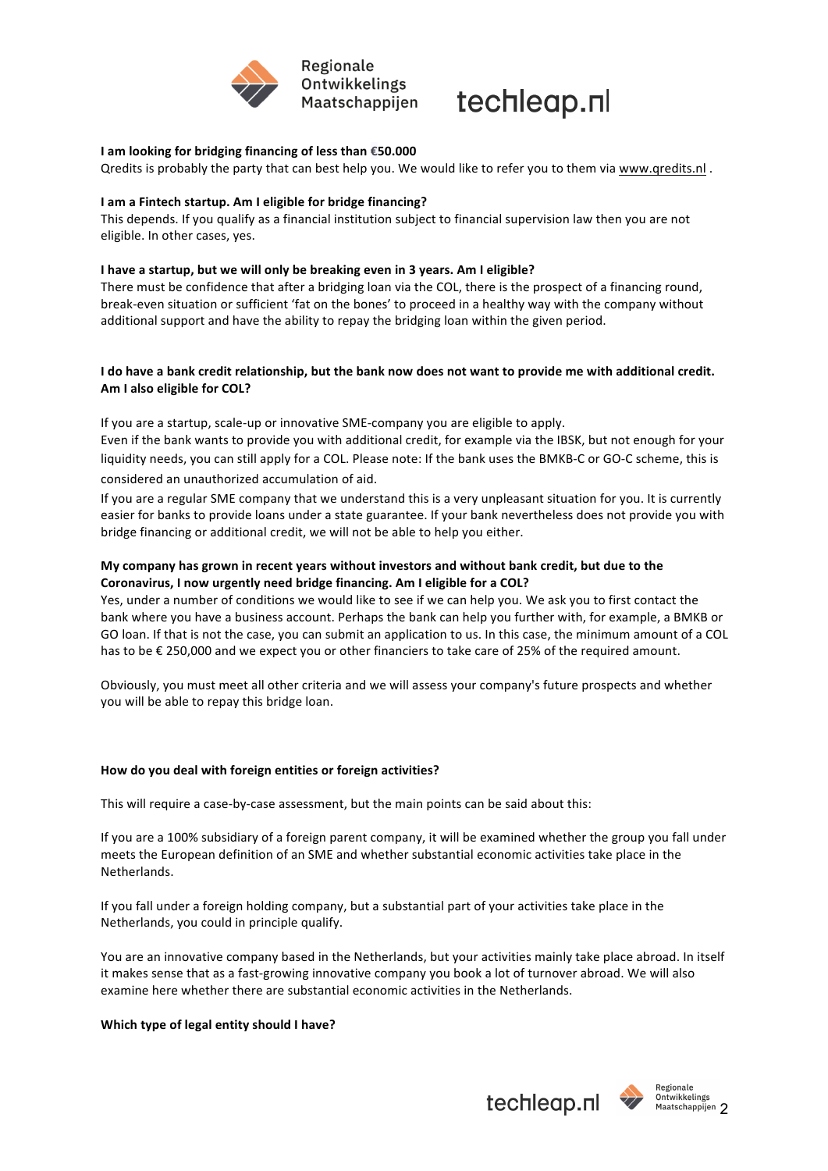



#### **I** am looking for bridging financing of less than €50.000

Qredits is probably the party that can best help you. We would like to refer you to them via www.qredits.nl.

#### **I** am a Fintech startup. Am I eligible for bridge financing?

This depends. If you qualify as a financial institution subject to financial supervision law then you are not eligible. In other cases, yes.

#### **I** have a startup, but we will only be breaking even in 3 years. Am I eligible?

There must be confidence that after a bridging loan via the COL, there is the prospect of a financing round, break-even situation or sufficient 'fat on the bones' to proceed in a healthy way with the company without additional support and have the ability to repay the bridging loan within the given period.

#### I do have a bank credit relationship, but the bank now does not want to provide me with additional credit. Am I also eligible for COL?

If you are a startup, scale-up or innovative SME-company you are eligible to apply.

Even if the bank wants to provide you with additional credit, for example via the IBSK, but not enough for your liquidity needs, you can still apply for a COL. Please note: If the bank uses the BMKB-C or GO-C scheme, this is considered an unauthorized accumulation of aid.

If you are a regular SME company that we understand this is a very unpleasant situation for you. It is currently easier for banks to provide loans under a state guarantee. If your bank nevertheless does not provide you with bridge financing or additional credit, we will not be able to help you either.

#### My company has grown in recent years without investors and without bank credit, but due to the Coronavirus, I now urgently need bridge financing. Am I eligible for a COL?

Yes, under a number of conditions we would like to see if we can help you. We ask you to first contact the bank where you have a business account. Perhaps the bank can help you further with, for example, a BMKB or GO loan. If that is not the case, you can submit an application to us. In this case, the minimum amount of a COL has to be € 250,000 and we expect you or other financiers to take care of 25% of the required amount.

Obviously, you must meet all other criteria and we will assess your company's future prospects and whether you will be able to repay this bridge loan.

#### How do you deal with foreign entities or foreign activities?

This will require a case-by-case assessment, but the main points can be said about this:

If you are a 100% subsidiary of a foreign parent company, it will be examined whether the group you fall under meets the European definition of an SME and whether substantial economic activities take place in the Netherlands.

If you fall under a foreign holding company, but a substantial part of your activities take place in the Netherlands, you could in principle qualify.

You are an innovative company based in the Netherlands, but your activities mainly take place abroad. In itself it makes sense that as a fast-growing innovative company you book a lot of turnover abroad. We will also examine here whether there are substantial economic activities in the Netherlands.

#### **Which type of legal entity should I have?**



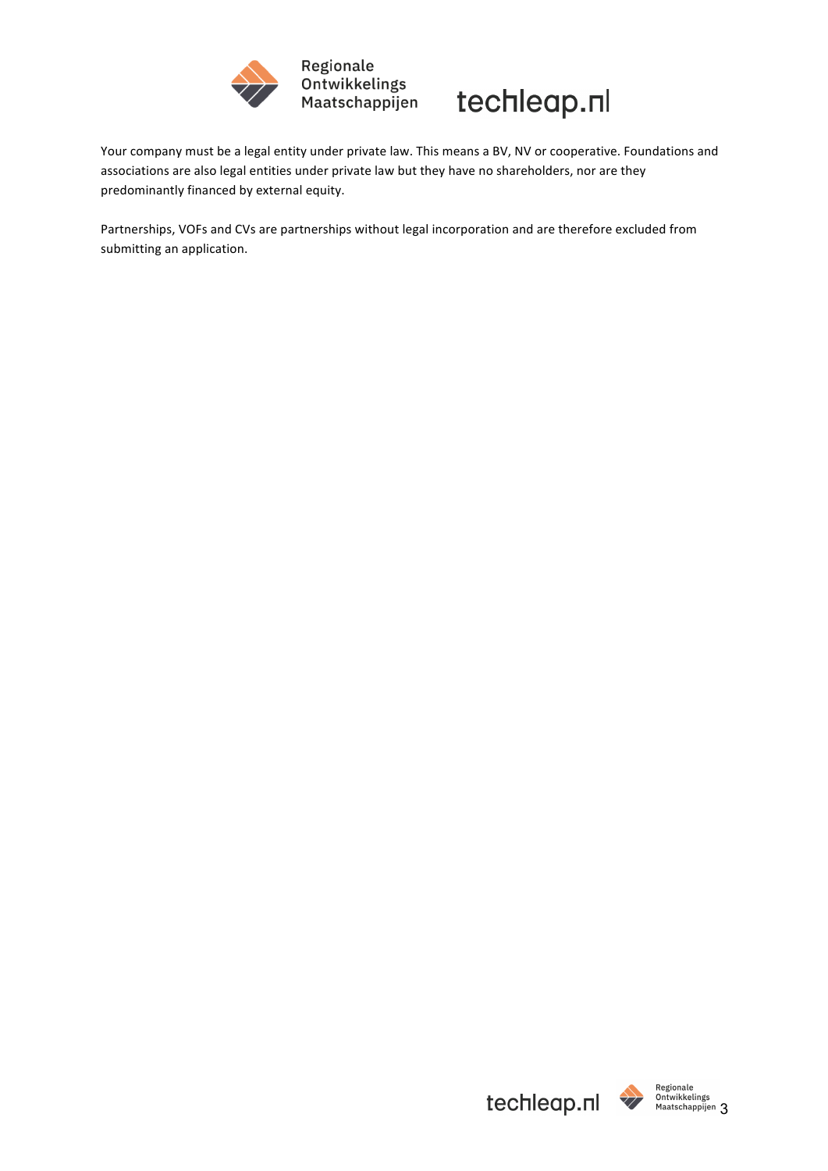



Your company must be a legal entity under private law. This means a BV, NV or cooperative. Foundations and associations are also legal entities under private law but they have no shareholders, nor are they predominantly financed by external equity.

Partnerships, VOFs and CVs are partnerships without legal incorporation and are therefore excluded from submitting an application.

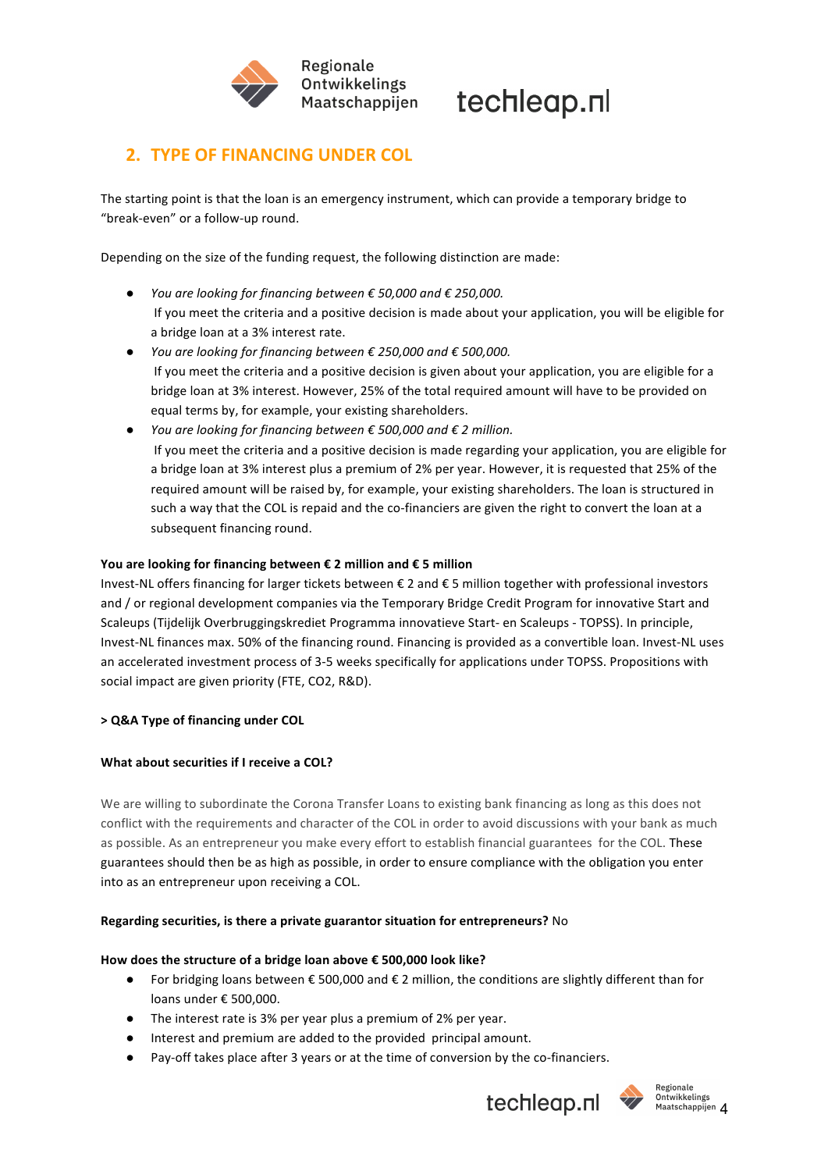

## **2. TYPE OF FINANCING UNDER COL**

The starting point is that the loan is an emergency instrument, which can provide a temporary bridge to "break-even" or a follow-up round.

Depending on the size of the funding request, the following distinction are made:

- *You are looking for financing between € 50,000 and € 250,000.* If you meet the criteria and a positive decision is made about your application, you will be eligible for a bridge loan at a 3% interest rate.
- *You are looking for financing between € 250,000 and € 500,000.* If you meet the criteria and a positive decision is given about your application, you are eligible for a bridge loan at 3% interest. However, 25% of the total required amount will have to be provided on equal terms by, for example, your existing shareholders.
- *You are looking for financing between € 500,000 and € 2 million.* If you meet the criteria and a positive decision is made regarding your application, you are eligible for a bridge loan at 3% interest plus a premium of 2% per year. However, it is requested that 25% of the required amount will be raised by, for example, your existing shareholders. The loan is structured in such a way that the COL is repaid and the co-financiers are given the right to convert the loan at a subsequent financing round.

#### You are looking for financing between € 2 million and € 5 million

Invest-NL offers financing for larger tickets between € 2 and € 5 million together with professional investors and / or regional development companies via the Temporary Bridge Credit Program for innovative Start and Scaleups (Tijdelijk Overbruggingskrediet Programma innovatieve Start- en Scaleups - TOPSS). In principle, Invest-NL finances max. 50% of the financing round. Financing is provided as a convertible loan. Invest-NL uses an accelerated investment process of 3-5 weeks specifically for applications under TOPSS. Propositions with social impact are given priority (FTE, CO2, R&D).

#### **> Q&A Type of financing under COL**

#### **What about securities if I receive a COL?**

We are willing to subordinate the Corona Transfer Loans to existing bank financing as long as this does not conflict with the requirements and character of the COL in order to avoid discussions with your bank as much as possible. As an entrepreneur you make every effort to establish financial guarantees for the COL. These guarantees should then be as high as possible, in order to ensure compliance with the obligation you enter into as an entrepreneur upon receiving a COL.

#### **Regarding securities, is there a private guarantor situation for entrepreneurs?** No

#### How does the structure of a bridge loan above € 500,000 look like?

- For bridging loans between € 500,000 and € 2 million, the conditions are slightly different than for loans under € 500.000.
- $\bullet$  The interest rate is 3% per year plus a premium of 2% per year.
- Interest and premium are added to the provided principal amount.
- Pay-off takes place after 3 years or at the time of conversion by the co-financiers.



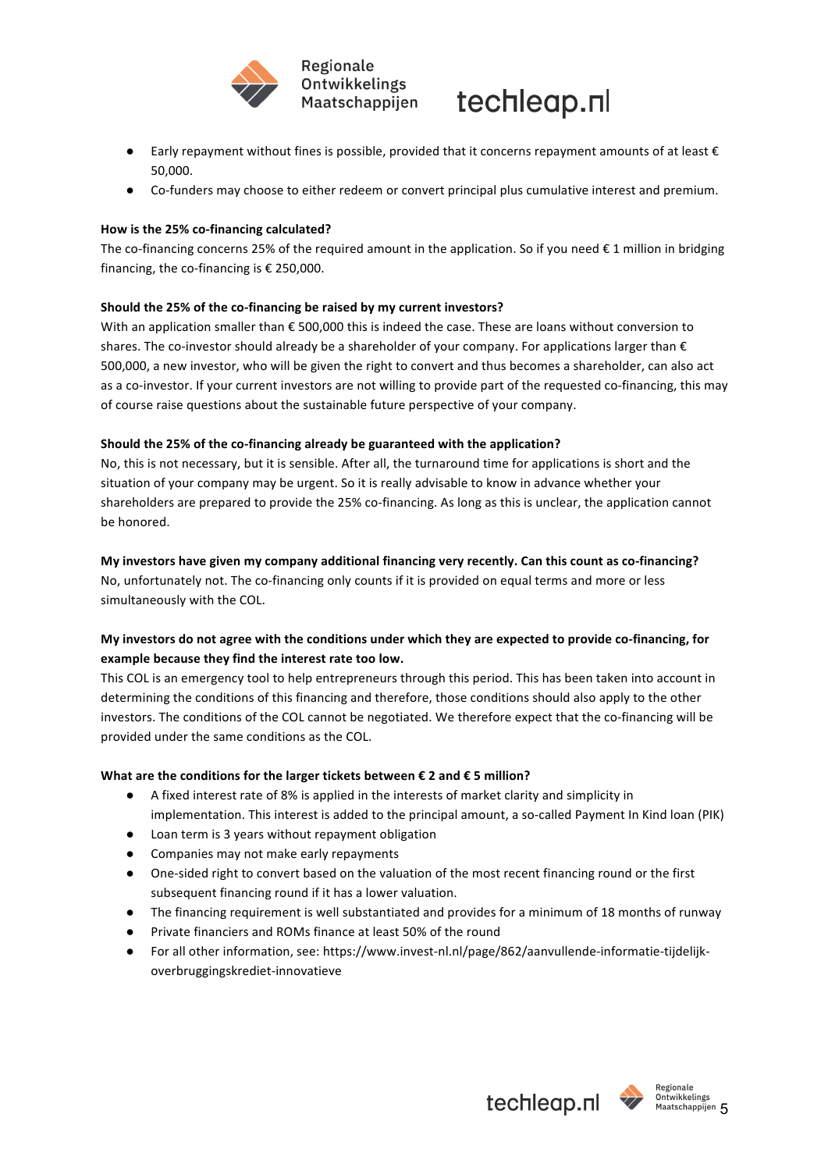



- Early repayment without fines is possible, provided that it concerns repayment amounts of at least  $\epsilon$ 50,000.
- Co-funders may choose to either redeem or convert principal plus cumulative interest and premium.

#### How is the 25% co-financing calculated?

The co-financing concerns 25% of the required amount in the application. So if you need  $\epsilon$  1 million in bridging financing, the co-financing is  $\epsilon$  250,000.

#### Should the 25% of the co-financing be raised by my current investors?

With an application smaller than  $\epsilon$  500,000 this is indeed the case. These are loans without conversion to shares. The co-investor should already be a shareholder of your company. For applications larger than  $\epsilon$ 500,000, a new investor, who will be given the right to convert and thus becomes a shareholder, can also act as a co-investor. If your current investors are not willing to provide part of the requested co-financing, this may of course raise questions about the sustainable future perspective of your company.

#### Should the 25% of the co-financing already be guaranteed with the application?

No, this is not necessary, but it is sensible. After all, the turnaround time for applications is short and the situation of your company may be urgent. So it is really advisable to know in advance whether your shareholders are prepared to provide the 25% co-financing. As long as this is unclear, the application cannot be honored.

#### My investors have given my company additional financing very recently. Can this count as co-financing?

No, unfortunately not. The co-financing only counts if it is provided on equal terms and more or less simultaneously with the COL.

### My investors do not agree with the conditions under which they are expected to provide co-financing, for example because they find the interest rate too low.

This COL is an emergency tool to help entrepreneurs through this period. This has been taken into account in determining the conditions of this financing and therefore, those conditions should also apply to the other investors. The conditions of the COL cannot be negotiated. We therefore expect that the co-financing will be provided under the same conditions as the COL.

#### What are the conditions for the larger tickets between  $\epsilon$  2 and  $\epsilon$  5 million?

- A fixed interest rate of 8% is applied in the interests of market clarity and simplicity in implementation. This interest is added to the principal amount, a so-called Payment In Kind loan (PIK)
- Loan term is 3 years without repayment obligation
- Companies may not make early repayments
- One-sided right to convert based on the valuation of the most recent financing round or the first subsequent financing round if it has a lower valuation.
- The financing requirement is well substantiated and provides for a minimum of 18 months of runway
- Private financiers and ROMs finance at least 50% of the round
- For all other information, see: https://www.invest-nl.nl/page/862/aanvullende-informatie-tijdelijkoverbruggingskrediet-innovatieve



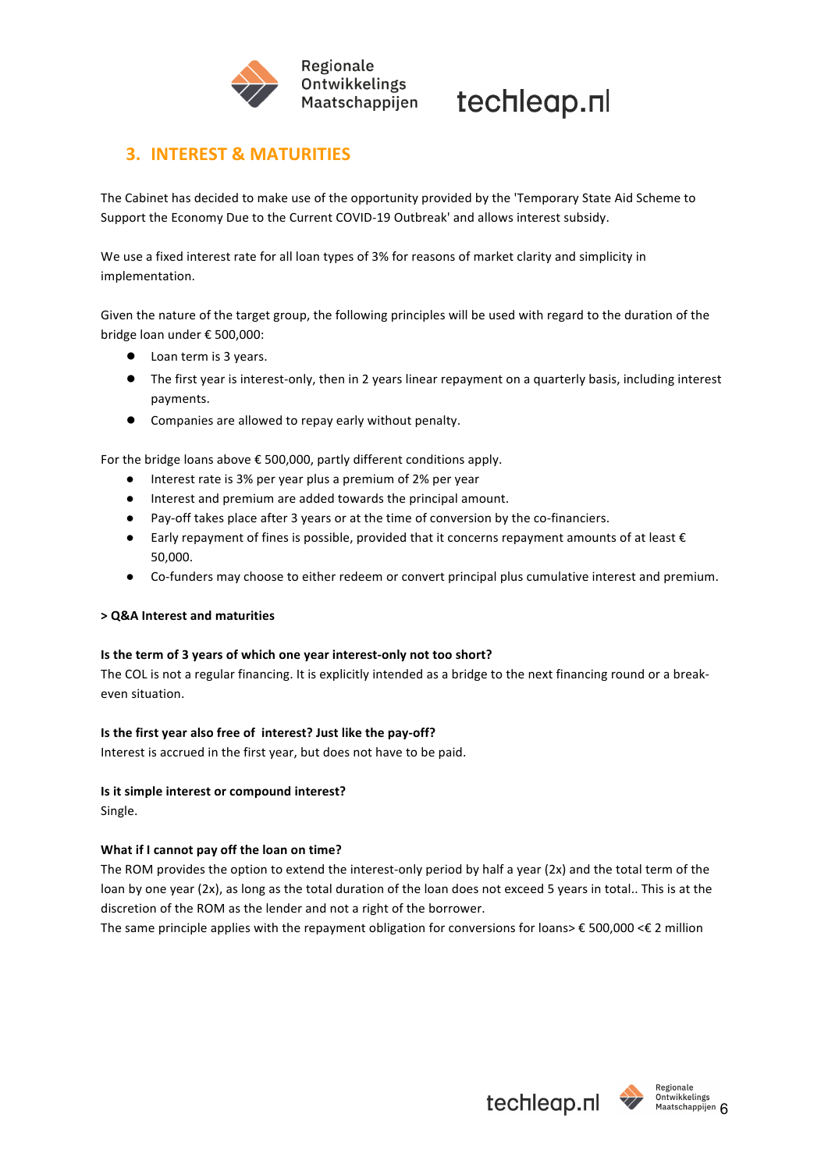

## **3. INTEREST & MATURITIES**

The Cabinet has decided to make use of the opportunity provided by the 'Temporary State Aid Scheme to Support the Economy Due to the Current COVID-19 Outbreak' and allows interest subsidy.

We use a fixed interest rate for all loan types of 3% for reasons of market clarity and simplicity in implementation.

Given the nature of the target group, the following principles will be used with regard to the duration of the bridge loan under € 500.000:

- Loan term is 3 years.
- The first year is interest-only, then in 2 years linear repayment on a quarterly basis, including interest payments.
- Companies are allowed to repay early without penalty.

For the bridge loans above  $\epsilon$  500,000, partly different conditions apply.

- Interest rate is 3% per year plus a premium of 2% per year
- Interest and premium are added towards the principal amount.
- Pay-off takes place after 3 years or at the time of conversion by the co-financiers.
- Early repayment of fines is possible, provided that it concerns repayment amounts of at least  $\epsilon$ 50,000.
- Co-funders may choose to either redeem or convert principal plus cumulative interest and premium.

#### **> Q&A Interest and maturities**

#### **Is the term of 3 years of which one year interest-only not too short?**

The COL is not a regular financing. It is explicitly intended as a bridge to the next financing round or a breakeven situation.

#### **Is the first year also free of interest? Just like the pay-off?**

Interest is accrued in the first year, but does not have to be paid.

#### **Is it simple interest or compound interest?**

Single.

#### **What if I cannot pay off the loan on time?**

The ROM provides the option to extend the interest-only period by half a year (2x) and the total term of the loan by one year (2x), as long as the total duration of the loan does not exceed 5 years in total.. This is at the discretion of the ROM as the lender and not a right of the borrower.

The same principle applies with the repayment obligation for conversions for loans>  $\epsilon$  500,000 < $\epsilon$  2 million

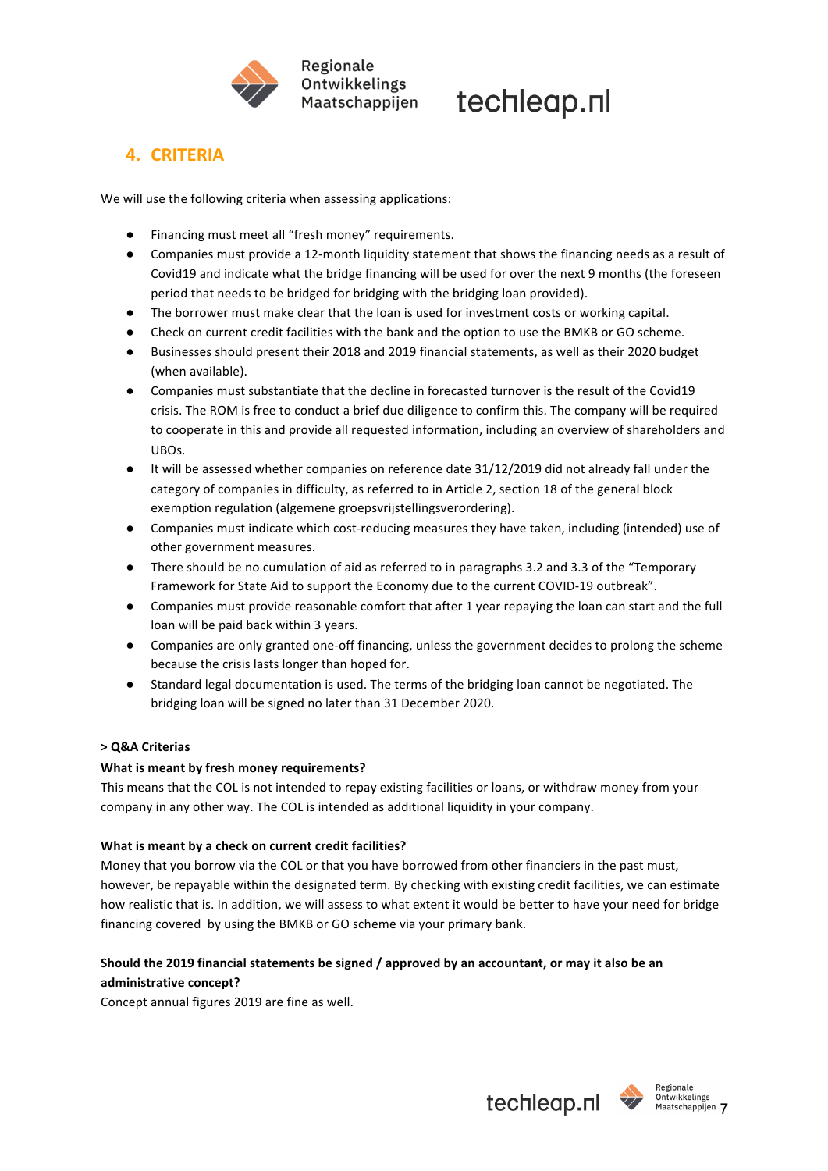

## **4. CRITERIA**

We will use the following criteria when assessing applications:

- Financing must meet all "fresh money" requirements.
- Companies must provide a 12-month liquidity statement that shows the financing needs as a result of Covid19 and indicate what the bridge financing will be used for over the next 9 months (the foreseen period that needs to be bridged for bridging with the bridging loan provided).
- The borrower must make clear that the loan is used for investment costs or working capital.
- Check on current credit facilities with the bank and the option to use the BMKB or GO scheme.
- Businesses should present their 2018 and 2019 financial statements, as well as their 2020 budget (when available).
- Companies must substantiate that the decline in forecasted turnover is the result of the Covid19 crisis. The ROM is free to conduct a brief due diligence to confirm this. The company will be required to cooperate in this and provide all requested information, including an overview of shareholders and UBOs.
- It will be assessed whether companies on reference date 31/12/2019 did not already fall under the category of companies in difficulty, as referred to in Article 2, section 18 of the general block exemption regulation (algemene groepsvrijstellingsverordering).
- Companies must indicate which cost-reducing measures they have taken, including (intended) use of other government measures.
- There should be no cumulation of aid as referred to in paragraphs 3.2 and 3.3 of the "Temporary Framework for State Aid to support the Economy due to the current COVID-19 outbreak".
- Companies must provide reasonable comfort that after 1 year repaying the loan can start and the full loan will be paid back within 3 years.
- Companies are only granted one-off financing, unless the government decides to prolong the scheme because the crisis lasts longer than hoped for.
- Standard legal documentation is used. The terms of the bridging loan cannot be negotiated. The bridging loan will be signed no later than 31 December 2020.

### **> Q&A Criterias**

#### **What is meant by fresh money requirements?**

This means that the COL is not intended to repay existing facilities or loans, or withdraw money from your company in any other way. The COL is intended as additional liquidity in your company.

#### **What is meant by a check on current credit facilities?**

Money that you borrow via the COL or that you have borrowed from other financiers in the past must, however, be repayable within the designated term. By checking with existing credit facilities, we can estimate how realistic that is. In addition, we will assess to what extent it would be better to have your need for bridge financing covered by using the BMKB or GO scheme via your primary bank.

### Should the 2019 financial statements be signed / approved by an accountant, or may it also be an administrative concept?

Concept annual figures 2019 are fine as well.

**techleap.nl We Maatschappijen** 7

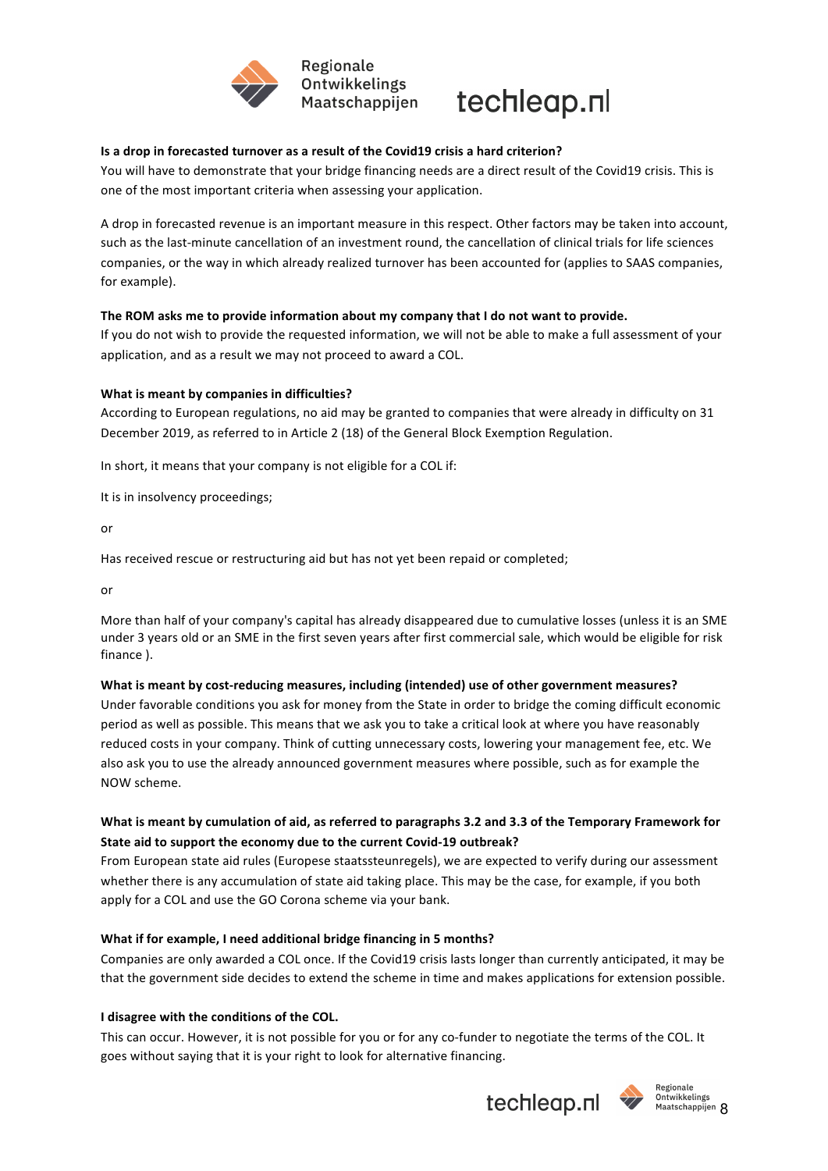



#### **Is a drop in forecasted turnover as a result of the Covid19 crisis a hard criterion?**

You will have to demonstrate that your bridge financing needs are a direct result of the Covid19 crisis. This is one of the most important criteria when assessing your application.

A drop in forecasted revenue is an important measure in this respect. Other factors may be taken into account, such as the last-minute cancellation of an investment round, the cancellation of clinical trials for life sciences companies, or the way in which already realized turnover has been accounted for (applies to SAAS companies, for example).

#### The ROM asks me to provide information about my company that I do not want to provide.

If you do not wish to provide the requested information, we will not be able to make a full assessment of your application, and as a result we may not proceed to award a COL.

#### **What is meant by companies in difficulties?**

According to European regulations, no aid may be granted to companies that were already in difficulty on 31 December 2019, as referred to in Article 2 (18) of the General Block Exemption Regulation.

In short, it means that your company is not eligible for a COL if:

It is in insolvency proceedings;

or

Has received rescue or restructuring aid but has not yet been repaid or completed;

or

More than half of your company's capital has already disappeared due to cumulative losses (unless it is an SME under 3 years old or an SME in the first seven years after first commercial sale, which would be eligible for risk finance ).

#### What is meant by cost-reducing measures, including (intended) use of other government measures?

Under favorable conditions you ask for money from the State in order to bridge the coming difficult economic period as well as possible. This means that we ask you to take a critical look at where you have reasonably reduced costs in your company. Think of cutting unnecessary costs, lowering your management fee, etc. We also ask you to use the already announced government measures where possible, such as for example the NOW scheme.

### What is meant by cumulation of aid, as referred to paragraphs 3.2 and 3.3 of the Temporary Framework for State aid to support the economy due to the current Covid-19 outbreak?

From European state aid rules (Europese staatssteunregels), we are expected to verify during our assessment whether there is any accumulation of state aid taking place. This may be the case, for example, if you both apply for a COL and use the GO Corona scheme via your bank.

#### **What if for example, I need additional bridge financing in 5 months?**

Companies are only awarded a COL once. If the Covid19 crisis lasts longer than currently anticipated, it may be that the government side decides to extend the scheme in time and makes applications for extension possible.

#### **I** disagree with the conditions of the COL.

This can occur. However, it is not possible for you or for any co-funder to negotiate the terms of the COL. It goes without saying that it is your right to look for alternative financing.





Ontwikkelings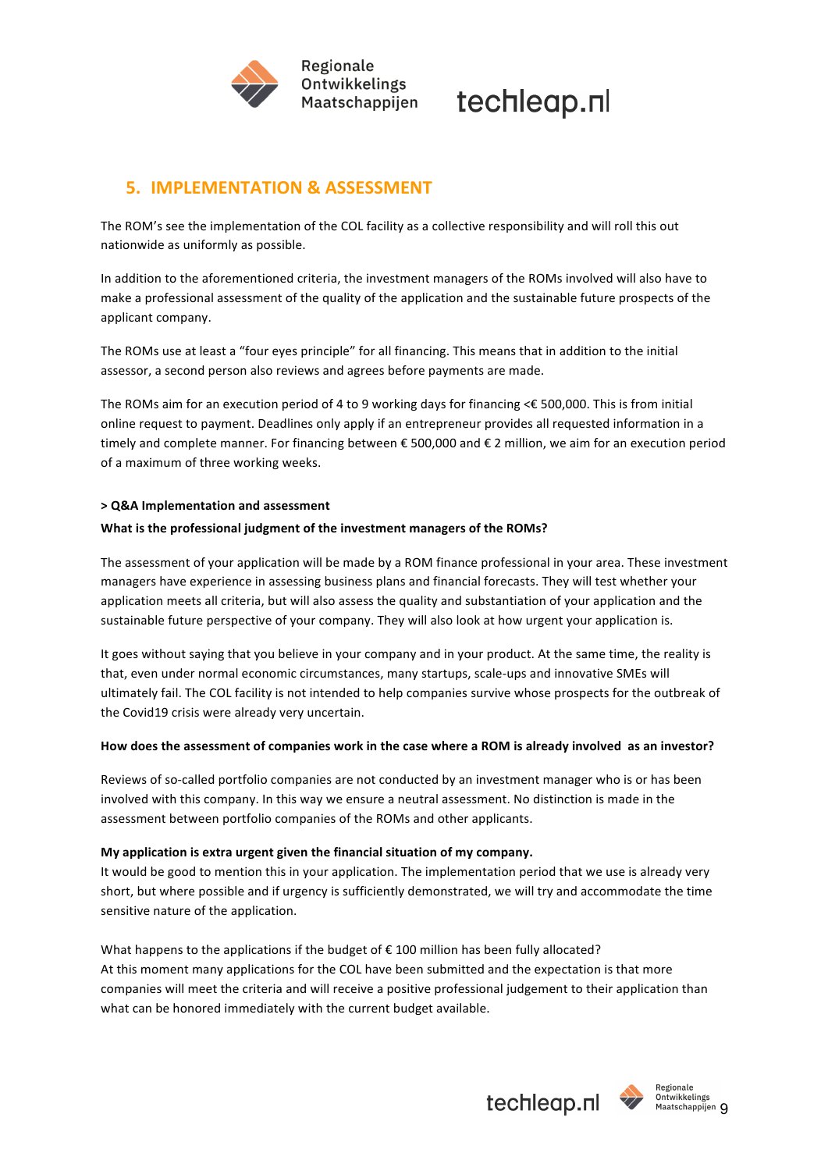



## **5. IMPLEMENTATION & ASSESSMENT**

The ROM's see the implementation of the COL facility as a collective responsibility and will roll this out nationwide as uniformly as possible.

In addition to the aforementioned criteria, the investment managers of the ROMs involved will also have to make a professional assessment of the quality of the application and the sustainable future prospects of the applicant company.

The ROMs use at least a "four eyes principle" for all financing. This means that in addition to the initial assessor, a second person also reviews and agrees before payments are made.

The ROMs aim for an execution period of 4 to 9 working days for financing  $\leq$  500,000. This is from initial online request to payment. Deadlines only apply if an entrepreneur provides all requested information in a timely and complete manner. For financing between € 500,000 and € 2 million, we aim for an execution period of a maximum of three working weeks.

#### **> Q&A Implementation and assessment**

#### What is the professional judgment of the investment managers of the ROMs?

The assessment of your application will be made by a ROM finance professional in your area. These investment managers have experience in assessing business plans and financial forecasts. They will test whether your application meets all criteria, but will also assess the quality and substantiation of your application and the sustainable future perspective of your company. They will also look at how urgent your application is.

It goes without saying that you believe in your company and in your product. At the same time, the reality is that, even under normal economic circumstances, many startups, scale-ups and innovative SMEs will ultimately fail. The COL facility is not intended to help companies survive whose prospects for the outbreak of the Covid19 crisis were already very uncertain.

#### How does the assessment of companies work in the case where a ROM is already involved as an investor?

Reviews of so-called portfolio companies are not conducted by an investment manager who is or has been involved with this company. In this way we ensure a neutral assessment. No distinction is made in the assessment between portfolio companies of the ROMs and other applicants.

#### My application is extra urgent given the financial situation of my company.

It would be good to mention this in your application. The implementation period that we use is already very short, but where possible and if urgency is sufficiently demonstrated, we will try and accommodate the time sensitive nature of the application.

What happens to the applications if the budget of  $\epsilon$  100 million has been fully allocated? At this moment many applications for the COL have been submitted and the expectation is that more companies will meet the criteria and will receive a positive professional judgement to their application than what can be honored immediately with the current budget available.



Regionale Ontwikkelings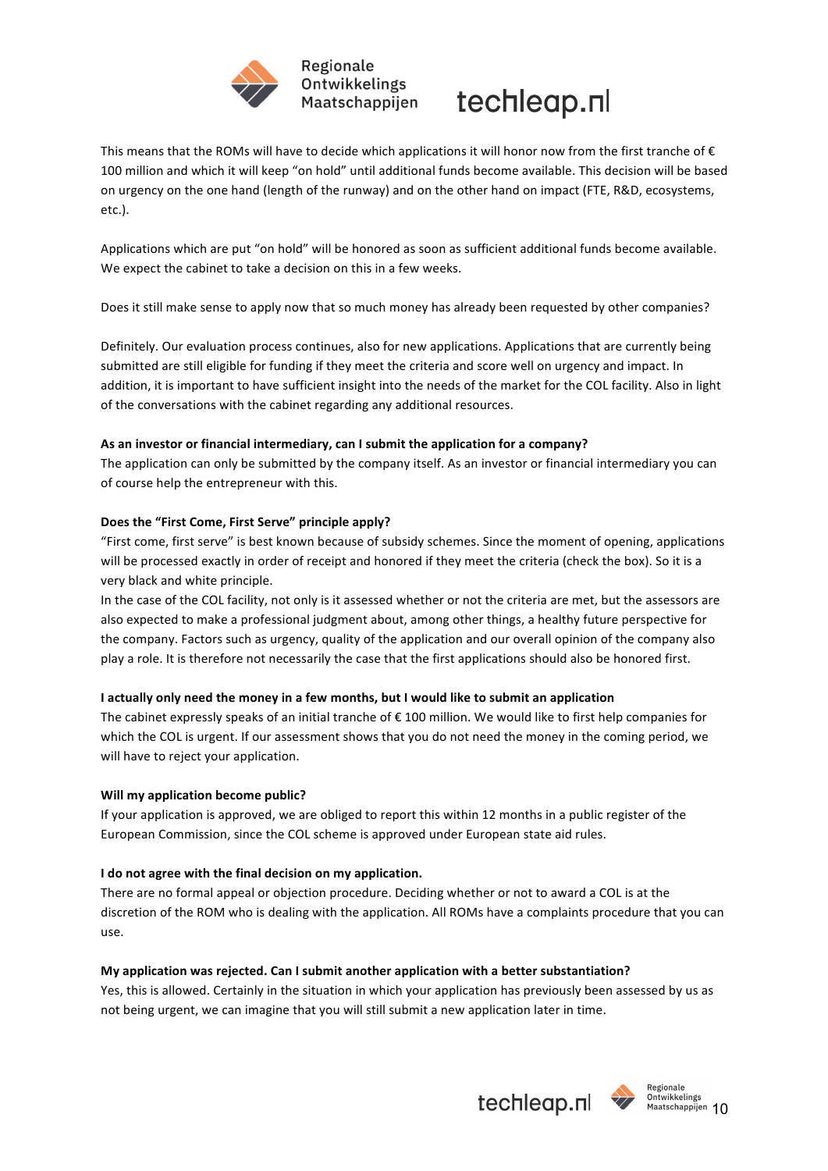



This means that the ROMs will have to decide which applications it will honor now from the first tranche of  $\epsilon$ 100 million and which it will keep "on hold" until additional funds become available. This decision will be based on urgency on the one hand (length of the runway) and on the other hand on impact (FTE, R&D, ecosystems, etc.).

Applications which are put "on hold" will be honored as soon as sufficient additional funds become available. We expect the cabinet to take a decision on this in a few weeks.

Does it still make sense to apply now that so much money has already been requested by other companies?

Definitely. Our evaluation process continues, also for new applications. Applications that are currently being submitted are still eligible for funding if they meet the criteria and score well on urgency and impact. In addition, it is important to have sufficient insight into the needs of the market for the COL facility. Also in light of the conversations with the cabinet regarding any additional resources.

#### As an investor or financial intermediary, can I submit the application for a company?

The application can only be submitted by the company itself. As an investor or financial intermediary you can of course help the entrepreneur with this.

#### Does the "First Come, First Serve" principle apply?

"First come, first serve" is best known because of subsidy schemes. Since the moment of opening, applications will be processed exactly in order of receipt and honored if they meet the criteria (check the box). So it is a very black and white principle.

In the case of the COL facility, not only is it assessed whether or not the criteria are met, but the assessors are also expected to make a professional judgment about, among other things, a healthy future perspective for the company. Factors such as urgency, quality of the application and our overall opinion of the company also play a role. It is therefore not necessarily the case that the first applications should also be honored first.

#### **I** actually only need the money in a few months, but I would like to submit an application

The cabinet expressly speaks of an initial tranche of  $\epsilon$  100 million. We would like to first help companies for which the COL is urgent. If our assessment shows that you do not need the money in the coming period, we will have to reject your application.

#### **Will my application become public?**

If your application is approved, we are obliged to report this within 12 months in a public register of the European Commission, since the COL scheme is approved under European state aid rules.

#### I do not agree with the final decision on my application.

There are no formal appeal or objection procedure. Deciding whether or not to award a COL is at the discretion of the ROM who is dealing with the application. All ROMs have a complaints procedure that you can use.

#### My application was rejected. Can I submit another application with a better substantiation?

Yes, this is allowed. Certainly in the situation in which your application has previously been assessed by us as not being urgent, we can imagine that you will still submit a new application later in time.



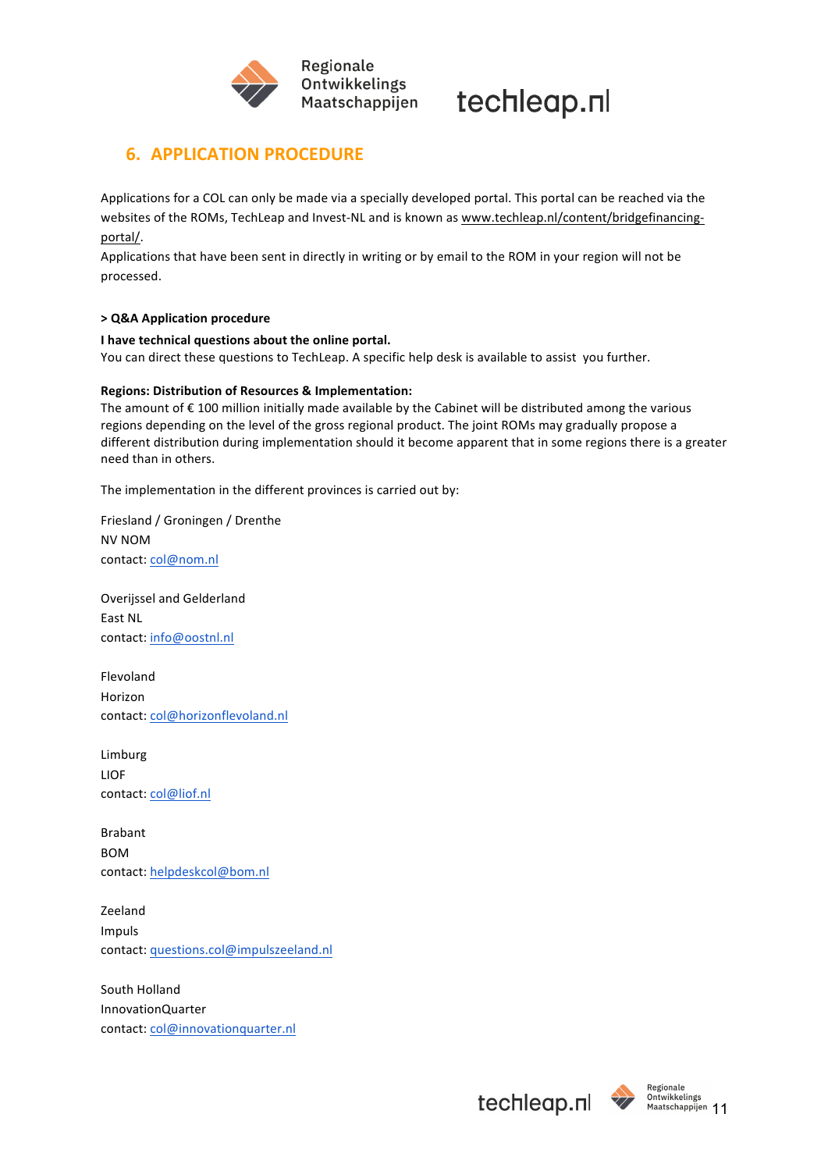

## **6. APPLICATION PROCEDURE**

Applications for a COL can only be made via a specially developed portal. This portal can be reached via the websites of the ROMs, TechLeap and Invest-NL and is known as www.techleap.nl/content/bridgefinancingportal/. 

Applications that have been sent in directly in writing or by email to the ROM in your region will not be processed.

#### **> Q&A Application procedure**

#### **I** have technical questions about the online portal.

You can direct these questions to TechLeap. A specific help desk is available to assist you further.

#### **Regions: Distribution of Resources & Implementation:**

The amount of  $\epsilon$  100 million initially made available by the Cabinet will be distributed among the various regions depending on the level of the gross regional product. The joint ROMs may gradually propose a different distribution during implementation should it become apparent that in some regions there is a greater need than in others.

The implementation in the different provinces is carried out by:

Friesland / Groningen / Drenthe NV NOM contact: col@nom.nl

Overijssel and Gelderland East NL contact: info@oostnl.nl

Flevoland Horizon contact: col@horizonflevoland.nl

Limburg LIOF contact: col@liof.nl

Brabant **BOM** contact: helpdeskcol@bom.nl

Zeeland Impuls contact: questions.col@impulszeeland.nl

South Holland InnovationQuarter contact: col@innovationquarter.nl



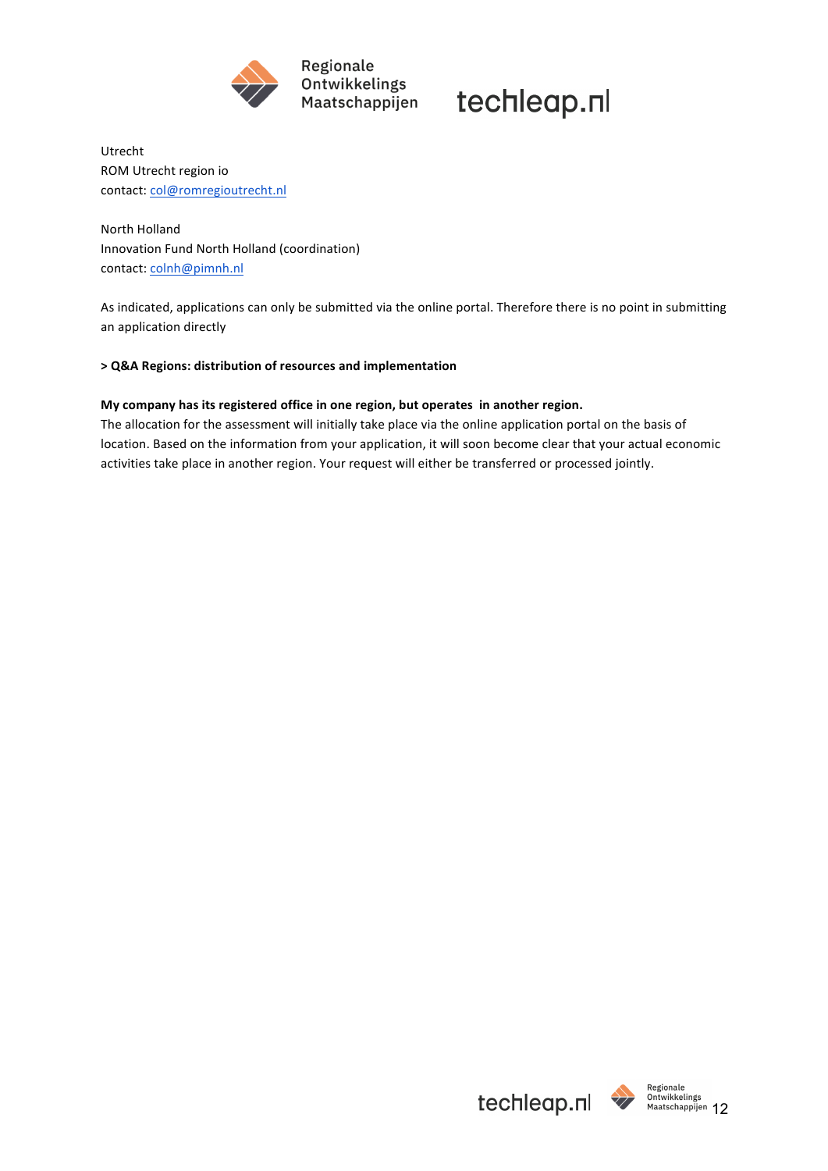

techleap.nl

Utrecht ROM Utrecht region io contact: col@romregioutrecht.nl

**North Holland** Innovation Fund North Holland (coordination) contact: colnh@pimnh.nl

As indicated, applications can only be submitted via the online portal. Therefore there is no point in submitting an application directly

#### **> Q&A Regions: distribution of resources and implementation**

#### My company has its registered office in one region, but operates in another region.

The allocation for the assessment will initially take place via the online application portal on the basis of location. Based on the information from your application, it will soon become clear that your actual economic activities take place in another region. Your request will either be transferred or processed jointly.

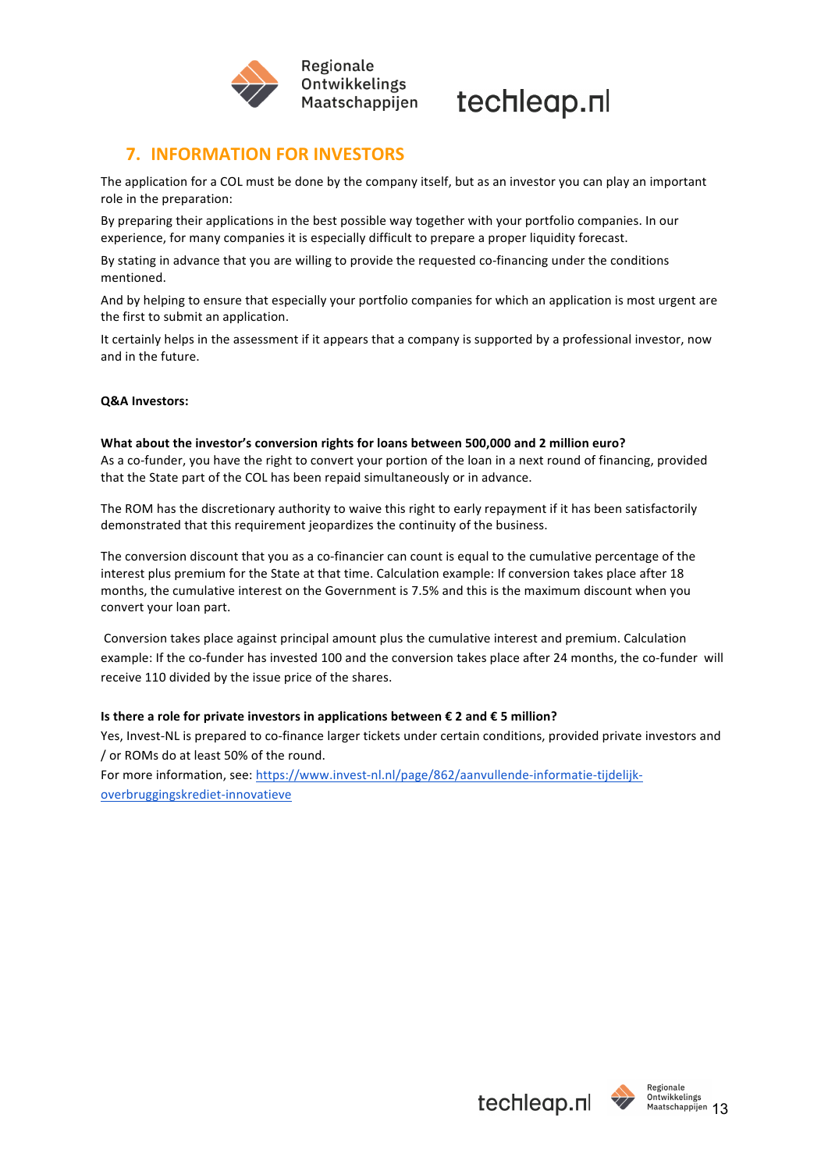



## **7. INFORMATION FOR INVESTORS**

The application for a COL must be done by the company itself, but as an investor you can play an important role in the preparation:

By preparing their applications in the best possible way together with your portfolio companies. In our experience, for many companies it is especially difficult to prepare a proper liquidity forecast.

By stating in advance that you are willing to provide the requested co-financing under the conditions mentioned.

And by helping to ensure that especially your portfolio companies for which an application is most urgent are the first to submit an application.

It certainly helps in the assessment if it appears that a company is supported by a professional investor, now and in the future.

#### **Q&A Investors:**

#### What about the investor's conversion rights for loans between 500,000 and 2 million euro?

As a co-funder, you have the right to convert your portion of the loan in a next round of financing, provided that the State part of the COL has been repaid simultaneously or in advance.

The ROM has the discretionary authority to waive this right to early repayment if it has been satisfactorily demonstrated that this requirement jeopardizes the continuity of the business.

The conversion discount that you as a co-financier can count is equal to the cumulative percentage of the interest plus premium for the State at that time. Calculation example: If conversion takes place after 18 months, the cumulative interest on the Government is 7.5% and this is the maximum discount when you convert your loan part.

Conversion takes place against principal amount plus the cumulative interest and premium. Calculation example: If the co-funder has invested 100 and the conversion takes place after 24 months, the co-funder will receive 110 divided by the issue price of the shares.

#### **Is there a role for private investors in applications between € 2 and € 5 million?**

Yes, Invest-NL is prepared to co-finance larger tickets under certain conditions, provided private investors and / or ROMs do at least 50% of the round.

For more information, see: https://www.invest-nl.nl/page/862/aanvullende-informatie-tijdelijkoverbruggingskrediet-innovatieve